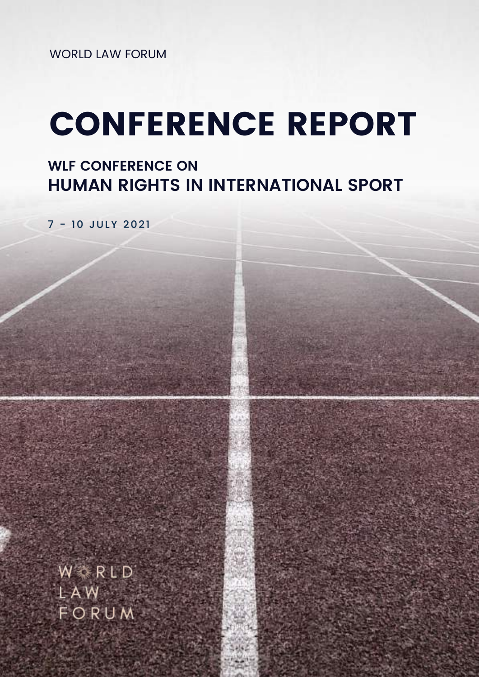WORLD LAW FORUM

# CONFERENCE REPORT

# **WLF CONFERENCE ON HUMAN RIGHTS IN INTERNATIONAL SPORT**

7 - 10 JULY 2021

W RLD LAW FORUM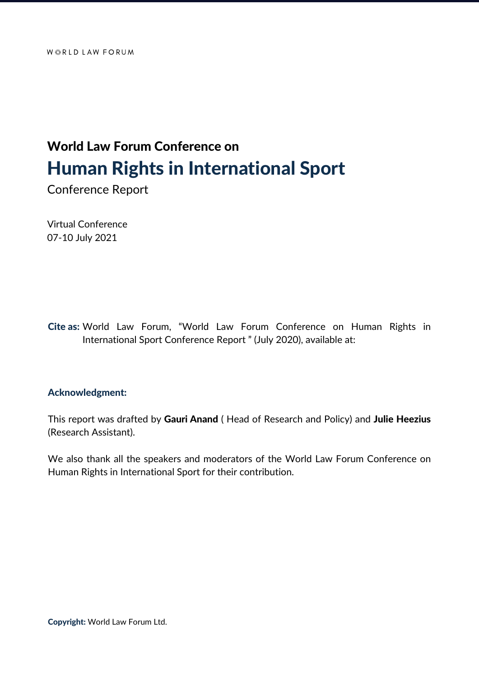# World Law Forum Conference on Human Rights in International Sport

Conference Report

Virtual Conference 07-10 July 2021

Cite as: World Law Forum, "World Law Forum Conference on Human Rights in International Sport Conference Report " (July 2020), available at:

#### Acknowledgment:

This report was drafted by Gauri Anand (Head of Research and Policy) and Julie Heezius (Research Assistant).

We also thank all the speakers and moderators of the World Law Forum Conference on Human Rights in International Sport for their contribution.

Copyright: World Law Forum Ltd.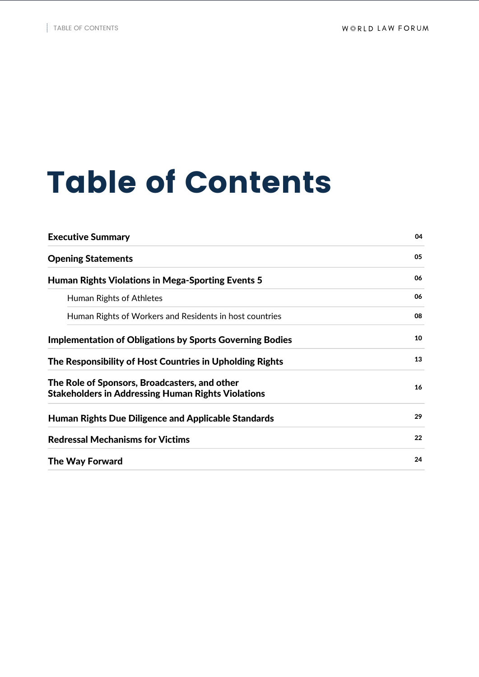# Table of Contents

| 04 |
|----|
| 05 |
| 06 |
| 06 |
| 08 |
| 10 |
| 13 |
| 16 |
| 29 |
| 22 |
| 24 |
|    |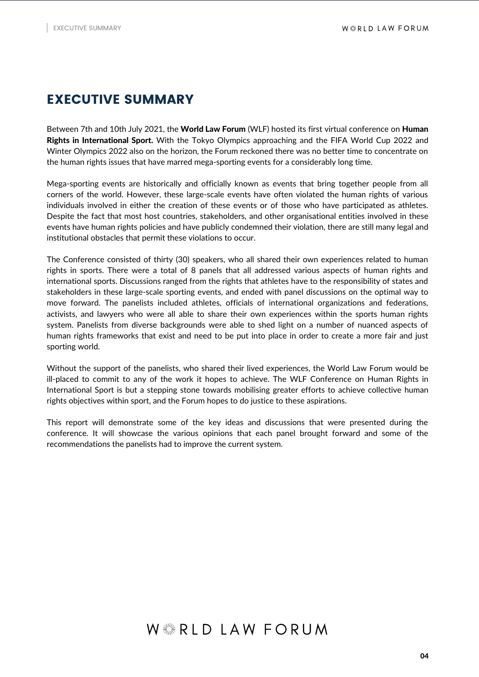# EXECUTIVE SUMMARY

Between 7th and 10th July 2021, the World Law Forum (WLF) hosted its first virtual conference on Human Rights in International Sport. With the Tokyo Olympics approaching and the FIFA World Cup 2022 and Winter Olympics 2022 also on the horizon, the Forum reckoned there was no better time to concentrate on the human rights issues that have marred mega-sporting events for a considerably long time.

Mega-sporting events are historically and officially known as events that bring together people from all corners of the world. However, these large-scale events have often violated the human rights of various individuals involved in either the creation of these events or of those who have participated as athletes. Despite the fact that most host countries, stakeholders, and other organisational entities involved in these events have human rights policies and have publicly condemned their violation, there are still many legal and institutional obstacles that permit these violations to occur.

The Conference consisted of thirty (30) speakers, who all shared their own experiences related to human rights in sports. There were a total of 8 panels that all addressed various aspects of human rights and international sports. Discussions ranged from the rights that athletes have to the responsibility of states and stakeholders in these large-scale sporting events, and ended with panel discussions on the optimal way to move forward. The panelists included athletes, officials of international organizations and federations, activists, and lawyers who were all able to share their own experiences within the sports human rights system. Panelists from diverse backgrounds were able to shed light on a number of nuanced aspects of human rights frameworks that exist and need to be put into place in order to create a more fair and just sporting world.

Without the support of the panelists, who shared their lived experiences, the World Law Forum would be ill-placed to commit to any of the work it hopes to achieve. The WLF Conference on Human Rights in International Sport is but a stepping stone towards mobilising greater efforts to achieve collective human rights objectives within sport, and the Forum hopes to do justice to these aspirations.

This report will demonstrate some of the key ideas and discussions that were presented during the conference. It will showcase the various opinions that each panel brought forward and some of the recommendations the panelists had to improve the current system.

# $W \stackrel{\text{\tiny \textit{NN}}}{\text{\tiny \textit{NN}}}$  R I D I A W FORUM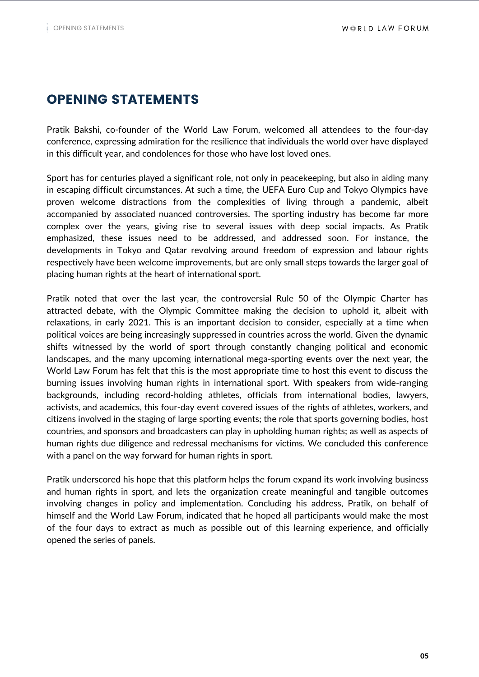# OPENING STATEMENTS

Pratik Bakshi, co-founder of the World Law Forum, welcomed all attendees to the four-day conference, expressing admiration for the resilience that individuals the world over have displayed in this difficult year, and condolences for those who have lost loved ones.

Sport has for centuries played a significant role, not only in peacekeeping, but also in aiding many in escaping difficult circumstances. At such a time, the UEFA Euro Cup and Tokyo Olympics have proven welcome distractions from the complexities of living through a pandemic, albeit accompanied by associated nuanced controversies. The sporting industry has become far more complex over the years, giving rise to several issues with deep social impacts. As Pratik emphasized, these issues need to be addressed, and addressed soon. For instance, the developments in Tokyo and Qatar revolving around freedom of expression and labour rights respectively have been welcome improvements, but are only small steps towards the larger goal of placing human rights at the heart of international sport.

Pratik noted that over the last year, the controversial Rule 50 of the Olympic Charter has attracted debate, with the Olympic Committee making the decision to uphold it, albeit with relaxations, in early 2021. This is an important decision to consider, especially at a time when political voices are being increasingly suppressed in countries across the world. Given the dynamic shifts witnessed by the world of sport through constantly changing political and economic landscapes, and the many upcoming international mega-sporting events over the next year, the World Law Forum has felt that this is the most appropriate time to host this event to discuss the burning issues involving human rights in international sport. With speakers from wide-ranging backgrounds, including record-holding athletes, officials from international bodies, lawyers, activists, and academics, this four-day event covered issues of the rights of athletes, workers, and citizens involved in the staging of large sporting events; the role that sports governing bodies, host countries, and sponsors and broadcasters can play in upholding human rights; as well as aspects of human rights due diligence and redressal mechanisms for victims. We concluded this conference with a panel on the way forward for human rights in sport.

Pratik underscored his hope that this platform helps the forum expand its work involving business and human rights in sport, and lets the organization create meaningful and tangible outcomes involving changes in policy and implementation. Concluding his address, Pratik, on behalf of himself and the World Law Forum, indicated that he hoped all participants would make the most of the four days to extract as much as possible out of this learning experience, and officially opened the series of panels.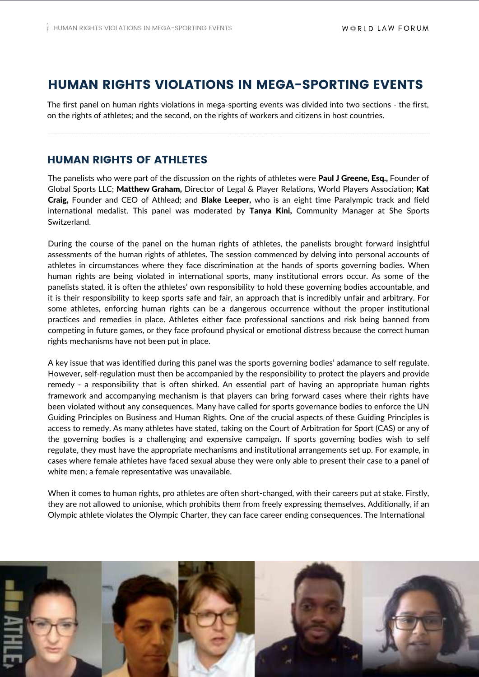### HUMAN RIGHTS VIOLATIONS IN MEGA-SPORTING EVENTS

The first panel on human rights violations in mega-sporting events was divided into two sections - the first, on the rights of athletes; and the second, on the rights of workers and citizens in host countries.

#### HUMAN RIGHTS OF ATHLETES

The panelists who were part of the discussion on the rights of athletes were Paul J Greene, Esq., Founder of Global Sports LLC; Matthew Graham, Director of Legal & Player Relations, World Players Association; Kat Craig, Founder and CEO of Athlead; and Blake Leeper, who is an eight time Paralympic track and field international medalist. This panel was moderated by Tanya Kini, Community Manager at She Sports Switzerland.

During the course of the panel on the human rights of athletes, the panelists brought forward insightful assessments of the human rights of athletes. The session commenced by delving into personal accounts of athletes in circumstances where they face discrimination at the hands of sports governing bodies. When human rights are being violated in international sports, many institutional errors occur. As some of the panelists stated, it is often the athletes' own responsibility to hold these governing bodies accountable, and it is their responsibility to keep sports safe and fair, an approach that is incredibly unfair and arbitrary. For some athletes, enforcing human rights can be a dangerous occurrence without the proper institutional practices and remedies in place. Athletes either face professional sanctions and risk being banned from competing in future games, or they face profound physical or emotional distress because the correct human rights mechanisms have not been put in place.

A key issue that was identified during this panel was the sports governing bodies' adamance to self regulate. However, self-regulation must then be accompanied by the responsibility to protect the players and provide remedy - a responsibility that is often shirked. An essential part of having an appropriate human rights framework and accompanying mechanism is that players can bring forward cases where their rights have been violated without any consequences. Many have called for sports governance bodies to enforce the UN Guiding Principles on Business and Human Rights. One of the crucial aspects of these Guiding Principles is access to remedy. As many athletes have stated, taking on the Court of Arbitration for Sport (CAS) or any of the governing bodies is a challenging and expensive campaign. If sports governing bodies wish to self regulate, they must have the appropriate mechanisms and institutional arrangements set up. For example, in cases where female athletes have faced sexual abuse they were only able to present their case to a panel of white men; a female representative was unavailable.

When it comes to human rights, pro athletes are often short-changed, with their careers put at stake. Firstly, they are not allowed to unionise, which prohibits them from freely expressing themselves. Additionally, if an Olympic athlete violates the Olympic Charter, they can face career ending consequences. The International

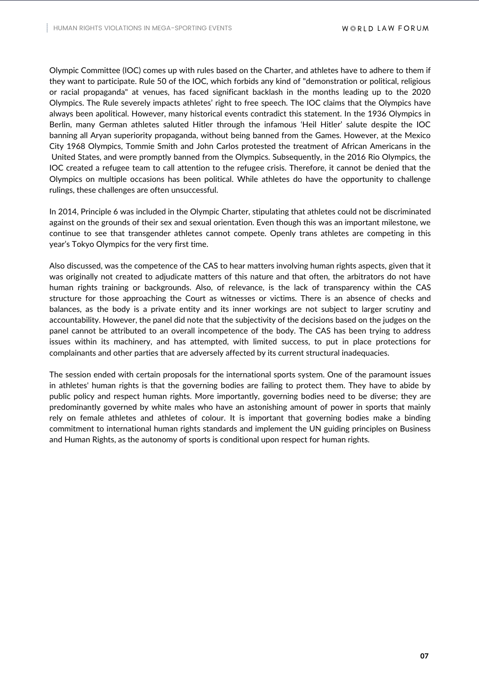Olympic Committee (IOC) comes up with rules based on the Charter, and athletes have to adhere to them if they want to participate. Rule 50 of the IOC, which forbids any kind of "demonstration or political, religious or racial propaganda" at venues, has faced significant backlash in the months leading up to the 2020 Olympics. The Rule severely impacts athletes' right to free speech. The IOC claims that the Olympics have always been apolitical. However, many historical events contradict this statement. In the 1936 Olympics in Berlin, many German athletes saluted Hitler through the infamous 'Heil Hitler' salute despite the IOC banning all Aryan superiority propaganda, without being banned from the Games. However, at the Mexico City 1968 Olympics, Tommie Smith and John Carlos protested the treatment of African Americans in the United States, and were promptly banned from the Olympics. Subsequently, in the 2016 Rio Olympics, the IOC created a refugee team to call attention to the refugee crisis. Therefore, it cannot be denied that the Olympics on multiple occasions has been political. While athletes do have the opportunity to challenge rulings, these challenges are often unsuccessful.

In 2014, Principle 6 was included in the Olympic Charter, stipulating that athletes could not be discriminated against on the grounds of their sex and sexual orientation. Even though this was an important milestone, we continue to see that transgender athletes cannot compete. Openly trans athletes are competing in this year's Tokyo Olympics for the very first time.

Also discussed, was the competence of the CAS to hear matters involving human rights aspects, given that it was originally not created to adjudicate matters of this nature and that often, the arbitrators do not have human rights training or backgrounds. Also, of relevance, is the lack of transparency within the CAS structure for those approaching the Court as witnesses or victims. There is an absence of checks and balances, as the body is a private entity and its inner workings are not subject to larger scrutiny and accountability. However, the panel did note that the subjectivity of the decisions based on the judges on the panel cannot be attributed to an overall incompetence of the body. The CAS has been trying to address issues within its machinery, and has attempted, with limited success, to put in place protections for complainants and other parties that are adversely affected by its current structural inadequacies.

The session ended with certain proposals for the international sports system. One of the paramount issues in athletes' human rights is that the governing bodies are failing to protect them. They have to abide by public policy and respect human rights. More importantly, governing bodies need to be diverse; they are predominantly governed by white males who have an astonishing amount of power in sports that mainly rely on female athletes and athletes of colour. It is important that governing bodies make a binding commitment to international human rights standards and implement the UN guiding principles on Business and Human Rights, as the autonomy of sports is conditional upon respect for human rights.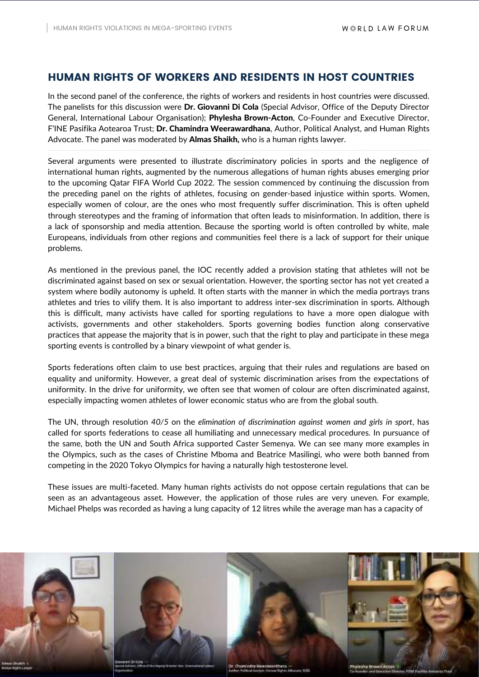#### HUMAN RIGHTS OF WORKERS AND RESIDENTS IN HOST COUNTRIES

In the second panel of the conference, the rights of workers and residents in host countries were discussed. The panelists for this discussion were Dr. Giovanni Di Cola (Special Advisor, Office of the Deputy Director General, International Labour Organisation); Phylesha Brown-Acton, Co-Founder and Executive Director, F'INE Pasifika Aotearoa Trust; Dr. Chamindra Weerawardhana, Author, Political Analyst, and Human Rights Advocate. The panel was moderated by **Almas Shaikh**, who is a human rights lawyer.

Several arguments were presented to illustrate discriminatory policies in sports and the negligence of international human rights, augmented by the numerous allegations of human rights abuses emerging prior to the upcoming Qatar FIFA World Cup 2022. The session commenced by continuing the discussion from the preceding panel on the rights of athletes, focusing on gender-based injustice within sports. Women, especially women of colour, are the ones who most frequently suffer discrimination. This is often upheld through stereotypes and the framing of information that often leads to misinformation. In addition, there is a lack of sponsorship and media attention. Because the sporting world is often controlled by white, male Europeans, individuals from other regions and communities feel there is a lack of support for their unique problems.

As mentioned in the previous panel, the IOC recently added a provision stating that athletes will not be discriminated against based on sex or sexual orientation. However, the sporting sector has not yet created a system where bodily autonomy is upheld. It often starts with the manner in which the media portrays trans athletes and tries to vilify them. It is also important to address inter-sex discrimination in sports. Although this is difficult, many activists have called for sporting regulations to have a more open dialogue with activists, governments and other stakeholders. Sports governing bodies function along conservative practices that appease the majority that is in power, such that the right to play and participate in these mega sporting events is controlled by a binary viewpoint of what gender is.

Sports federations often claim to use best practices, arguing that their rules and regulations are based on equality and uniformity. However, a great deal of systemic discrimination arises from the expectations of uniformity. In the drive for uniformity, we often see that women of colour are often discriminated against, especially impacting women athletes of lower economic status who are from the global south.

The UN, through resolution *40/5* on the *elimination of discrimination against women and girls in sport*, has called for sports federations to cease all humiliating and unnecessary medical procedures. In pursuance of the same, both the UN and South Africa supported Caster Semenya. We can see many more examples in the Olympics, such as the cases of Christine Mboma and Beatrice Masilingi, who were both banned from competing in the 2020 Tokyo Olympics for having a naturally high testosterone level.

These issues are multi-faceted. Many human rights activists do not oppose certain regulations that can be seen as an advantageous asset. However, the application of those rules are very uneven. For example, Michael Phelps was recorded as having a lung capacity of 12 litres while the average man has a capacity of

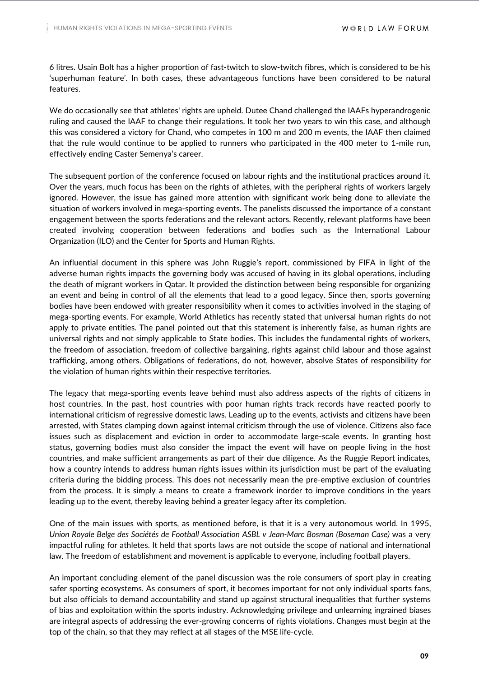6 litres. Usain Bolt has a higher proportion of fast-twitch to slow-twitch fibres, which is considered to be his 'superhuman feature'. In both cases, these advantageous functions have been considered to be natural features.

We do occasionally see that athletes' rights are upheld. Dutee Chand challenged the IAAFs hyperandrogenic ruling and caused the IAAF to change their regulations. It took her two years to win this case, and although this was considered a victory for Chand, who competes in 100 m and 200 m events, the IAAF then claimed that the rule would continue to be applied to runners who participated in the 400 meter to 1-mile run, effectively ending Caster Semenya's career.

The subsequent portion of the conference focused on labour rights and the institutional practices around it. Over the years, much focus has been on the rights of athletes, with the peripheral rights of workers largely ignored. However, the issue has gained more attention with significant work being done to alleviate the situation of workers involved in mega-sporting events. The panelists discussed the importance of a constant engagement between the sports federations and the relevant actors. Recently, relevant platforms have been created involving cooperation between federations and bodies such as the International Labour Organization (ILO) and the Center for Sports and Human Rights.

An influential document in this sphere was John Ruggie's report, commissioned by FIFA in light of the adverse human rights impacts the governing body was accused of having in its global operations, including the death of migrant workers in Qatar. It provided the distinction between being responsible for organizing an event and being in control of all the elements that lead to a good legacy. Since then, sports governing bodies have been endowed with greater responsibility when it comes to activities involved in the staging of mega-sporting events. For example, World Athletics has recently stated that universal human rights do not apply to private entities. The panel pointed out that this statement is inherently false, as human rights are universal rights and not simply applicable to State bodies. This includes the fundamental rights of workers, the freedom of association, freedom of collective bargaining, rights against child labour and those against trafficking, among others. Obligations of federations, do not, however, absolve States of responsibility for the violation of human rights within their respective territories.

The legacy that mega-sporting events leave behind must also address aspects of the rights of citizens in host countries. In the past, host countries with poor human rights track records have reacted poorly to international criticism of regressive domestic laws. Leading up to the events, activists and citizens have been arrested, with States clamping down against internal criticism through the use of violence. Citizens also face issues such as displacement and eviction in order to accommodate large-scale events. In granting host status, governing bodies must also consider the impact the event will have on people living in the host countries, and make sufficient arrangements as part of their due diligence. As the Ruggie Report indicates, how a country intends to address human rights issues within its jurisdiction must be part of the evaluating criteria during the bidding process. This does not necessarily mean the pre-emptive exclusion of countries from the process. It is simply a means to create a framework inorder to improve conditions in the years leading up to the event, thereby leaving behind a greater legacy after its completion.

One of the main issues with sports, as mentioned before, is that it is a very autonomous world. In 1995, *Union Royale Belge des Sociétés de Football Association ASBL v Jean-Marc Bosman (Boseman Case)* was a very impactful ruling for athletes. It held that sports laws are not outside the scope of national and international law. The freedom of establishment and movement is applicable to everyone, including football players.

An important concluding element of the panel discussion was the role consumers of sport play in creating safer sporting ecosystems. As consumers of sport, it becomes important for not only individual sports fans, but also officials to demand accountability and stand up against structural inequalities that further systems of bias and exploitation within the sports industry. Acknowledging privilege and unlearning ingrained biases are integral aspects of addressing the ever-growing concerns of rights violations. Changes must begin at the top of the chain, so that they may reflect at all stages of the MSE life-cycle.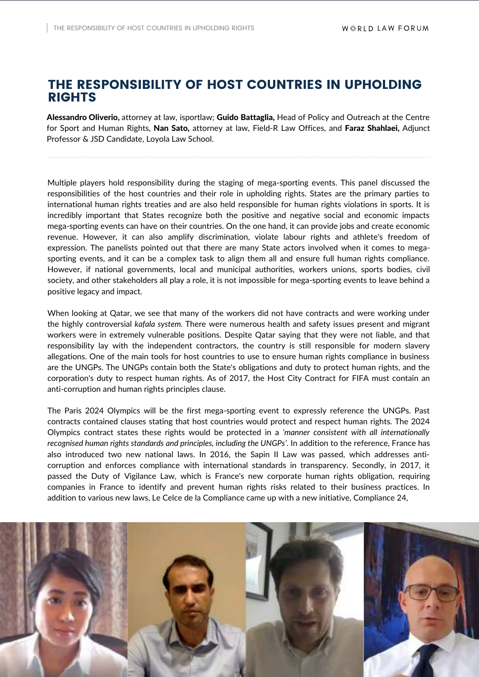## THE RESPONSIBILITY OF HOST COUNTRIES IN UPHOLDING RIGHTS

Alessandro Oliverio, attorney at law, isportlaw; Guido Battaglia, Head of Policy and Outreach at the Centre for Sport and Human Rights, Nan Sato, attorney at law, Field-R Law Offices, and Faraz Shahlaei, Adjunct Professor & JSD Candidate, Loyola Law School.

Multiple players hold responsibility during the staging of mega-sporting events. This panel discussed the responsibilities of the host countries and their role in upholding rights. States are the primary parties to international human rights treaties and are also held responsible for human rights violations in sports. It is incredibly important that States recognize both the positive and negative social and economic impacts mega-sporting events can have on their countries. On the one hand, it can provide jobs and create economic revenue. However, it can also amplify discrimination, violate labour rights and athlete's freedom of expression. The panelists pointed out that there are many State actors involved when it comes to megasporting events, and it can be a complex task to align them all and ensure full human rights compliance. However, if national governments, local and municipal authorities, workers unions, sports bodies, civil society, and other stakeholders all play a role, it is not impossible for mega-sporting events to leave behind a positive legacy and impact.

When looking at Qatar, we see that many of the workers did not have contracts and were working under the highly controversial *kafala system.* There were numerous health and safety issues present and migrant workers were in extremely vulnerable positions. Despite Qatar saying that they were not liable, and that responsibility lay with the independent contractors, the country is still responsible for modern slavery allegations. One of the main tools for host countries to use to ensure human rights compliance in business are the UNGPs. The UNGPs contain both the State's obligations and duty to protect human rights, and the corporation's duty to respect human rights. As of 2017, the Host City Contract for FIFA must contain an anti-corruption and human rights principles clause.

The Paris 2024 Olympics will be the first mega-sporting event to expressly reference the UNGPs. Past contracts contained clauses stating that host countries would protect and respect human rights. The 2024 Olympics contract states these rights would be protected in a *'manner consistent with all internationally recognised human rights standards and principles, including the UNGPs'*. In addition to the reference, France has also introduced two new national laws. In 2016, the Sapin II Law was passed, which addresses anticorruption and enforces compliance with international standards in transparency. Secondly, in 2017, it passed the Duty of Vigilance Law, which is France's new corporate human rights obligation, requiring companies in France to identify and prevent human rights risks related to their business practices. In addition to various new laws, Le Celce de la Compliance came up with a new initiative, Compliance 24,

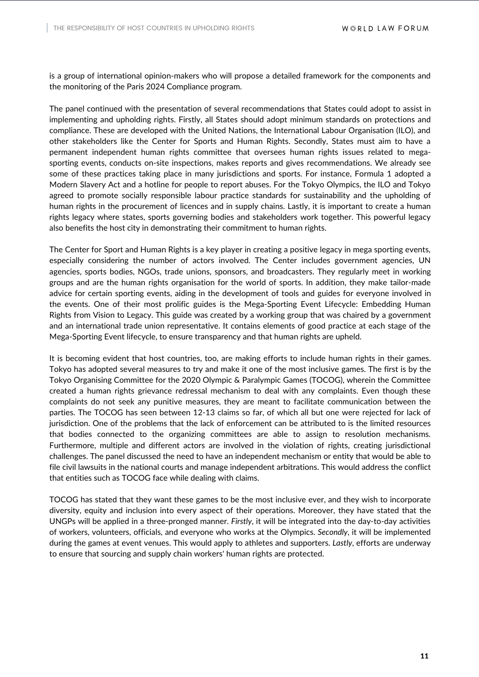is a group of international opinion-makers who will propose a detailed framework for the components and the monitoring of the Paris 2024 Compliance program.

The panel continued with the presentation of several recommendations that States could adopt to assist in implementing and upholding rights. Firstly, all States should adopt minimum standards on protections and compliance. These are developed with the United Nations, the International Labour Organisation (ILO), and other stakeholders like the Center for Sports and Human Rights. Secondly, States must aim to have a permanent independent human rights committee that oversees human rights issues related to megasporting events, conducts on-site inspections, makes reports and gives recommendations. We already see some of these practices taking place in many jurisdictions and sports. For instance, Formula 1 adopted a Modern Slavery Act and a hotline for people to report abuses. For the Tokyo Olympics, the ILO and Tokyo agreed to promote socially responsible labour practice standards for sustainability and the upholding of human rights in the procurement of licences and in supply chains. Lastly, it is important to create a human rights legacy where states, sports governing bodies and stakeholders work together. This powerful legacy also benefits the host city in demonstrating their commitment to human rights.

The Center for Sport and Human Rights is a key player in creating a positive legacy in mega sporting events, especially considering the number of actors involved. The Center includes government agencies, UN agencies, sports bodies, NGOs, trade unions, sponsors, and broadcasters. They regularly meet in working groups and are the human rights organisation for the world of sports. In addition, they make tailor-made advice for certain sporting events, aiding in the development of tools and guides for everyone involved in the events. One of their most prolific guides is the Mega-Sporting Event Lifecycle: Embedding Human Rights from Vision to Legacy. This guide was created by a working group that was chaired by a government and an international trade union representative. It contains elements of good practice at each stage of the Mega-Sporting Event lifecycle, to ensure transparency and that human rights are upheld.

It is becoming evident that host countries, too, are making efforts to include human rights in their games. Tokyo has adopted several measures to try and make it one of the most inclusive games. The first is by the Tokyo Organising Committee for the 2020 Olympic & Paralympic Games (TOCOG), wherein the Committee created a human rights grievance redressal mechanism to deal with any complaints. Even though these complaints do not seek any punitive measures, they are meant to facilitate communication between the parties. The TOCOG has seen between 12-13 claims so far, of which all but one were rejected for lack of jurisdiction. One of the problems that the lack of enforcement can be attributed to is the limited resources that bodies connected to the organizing committees are able to assign to resolution mechanisms. Furthermore, multiple and different actors are involved in the violation of rights, creating jurisdictional challenges. The panel discussed the need to have an independent mechanism or entity that would be able to file civil lawsuits in the national courts and manage independent arbitrations. This would address the conflict that entities such as TOCOG face while dealing with claims.

TOCOG has stated that they want these games to be the most inclusive ever, and they wish to incorporate diversity, equity and inclusion into every aspect of their operations. Moreover, they have stated that the UNGPs will be applied in a three-pronged manner. *Firstly*, it will be integrated into the day-to-day activities of workers, volunteers, officials, and everyone who works at the Olympics. *Secondly*, it will be implemented during the games at event venues. This would apply to athletes and supporters. *Lastly*, efforts are underway to ensure that sourcing and supply chain workers' human rights are protected.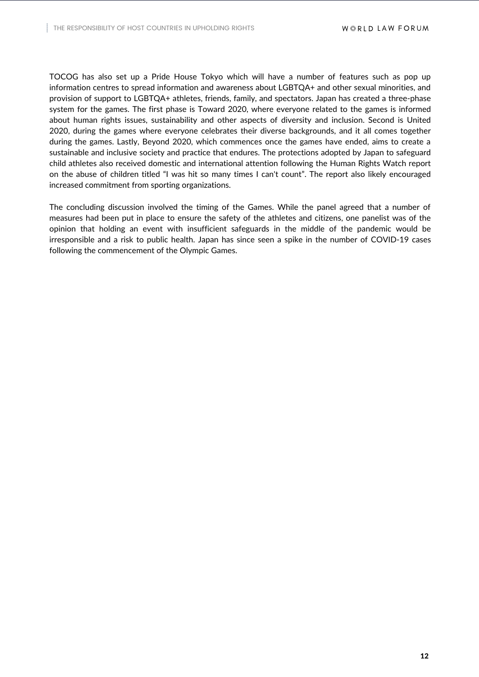TOCOG has also set up a Pride House Tokyo which will have a number of features such as pop up information centres to spread information and awareness about LGBTQA+ and other sexual minorities, and provision of support to LGBTQA+ athletes, friends, family, and spectators. Japan has created a three-phase system for the games. The first phase is Toward 2020, where everyone related to the games is informed about human rights issues, sustainability and other aspects of diversity and inclusion. Second is United 2020, during the games where everyone celebrates their diverse backgrounds, and it all comes together during the games. Lastly, Beyond 2020, which commences once the games have ended, aims to create a sustainable and inclusive society and practice that endures. The protections adopted by Japan to safeguard child athletes also received domestic and international attention following the Human Rights Watch report on the abuse of children titled "I was hit so many times I can't count". The report also likely encouraged increased commitment from sporting organizations.

The concluding discussion involved the timing of the Games. While the panel agreed that a number of measures had been put in place to ensure the safety of the athletes and citizens, one panelist was of the opinion that holding an event with insufficient safeguards in the middle of the pandemic would be irresponsible and a risk to public health. Japan has since seen a spike in the number of COVID-19 cases following the commencement of the Olympic Games.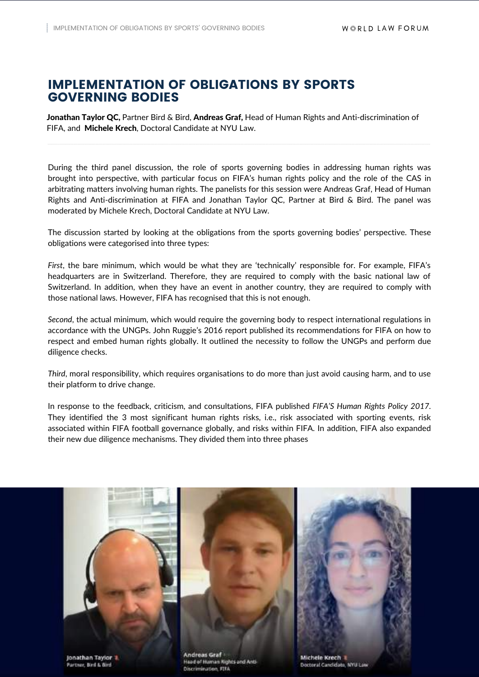# IMPLEMENTATION OF OBLIGATIONS BY SPORTS GOVERNING BODIES

Jonathan Taylor QC, Partner Bird & Bird, Andreas Graf, Head of Human Rights and Anti-discrimination of FIFA, and Michele Krech, Doctoral Candidate at NYU Law.

During the third panel discussion, the role of sports governing bodies in addressing human rights was brought into perspective, with particular focus on FIFA's human rights policy and the role of the CAS in arbitrating matters involving human rights. The panelists for this session were Andreas Graf, Head of Human Rights and Anti-discrimination at FIFA and Jonathan Taylor QC, Partner at Bird & Bird. The panel was moderated by Michele Krech, Doctoral Candidate at NYU Law.

The discussion started by looking at the obligations from the sports governing bodies' perspective. These obligations were categorised into three types:

*First*, the bare minimum, which would be what they are 'technically' responsible for. For example, FIFA's headquarters are in Switzerland. Therefore, they are required to comply with the basic national law of Switzerland. In addition, when they have an event in another country, they are required to comply with those national laws. However, FIFA has recognised that this is not enough.

*Second*, the actual minimum, which would require the governing body to respect international regulations in accordance with the UNGPs. John Ruggie's 2016 report published its recommendations for FIFA on how to respect and embed human rights globally. It outlined the necessity to follow the UNGPs and perform due diligence checks.

*Third*, moral responsibility, which requires organisations to do more than just avoid causing harm, and to use their platform to drive change.

In response to the feedback, criticism, and consultations, FIFA published *FIFA'S Human Rights Policy 2017.* They identified the 3 most significant human rights risks, i.e., risk associated with sporting events, risk associated within FIFA football governance globally, and risks within FIFA. In addition, FIFA also expanded their new due diligence mechanisms. They divided them into three phases

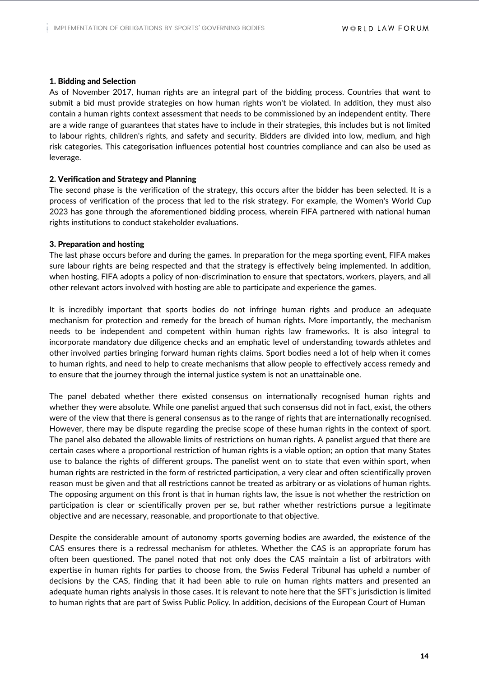#### 1. Bidding and Selection

As of November 2017, human rights are an integral part of the bidding process. Countries that want to submit a bid must provide strategies on how human rights won't be violated. In addition, they must also contain a human rights context assessment that needs to be commissioned by an independent entity. There are a wide range of guarantees that states have to include in their strategies, this includes but is not limited to labour rights, children's rights, and safety and security. Bidders are divided into low, medium, and high risk categories. This categorisation influences potential host countries compliance and can also be used as leverage.

#### 2. Verification and Strategy and Planning

The second phase is the verification of the strategy, this occurs after the bidder has been selected. It is a process of verification of the process that led to the risk strategy. For example, the Women's World Cup 2023 has gone through the aforementioned bidding process, wherein FIFA partnered with national human rights institutions to conduct stakeholder evaluations.

#### 3. Preparation and hosting

The last phase occurs before and during the games. In preparation for the mega sporting event, FIFA makes sure labour rights are being respected and that the strategy is effectively being implemented. In addition, when hosting, FIFA adopts a policy of non-discrimination to ensure that spectators, workers, players, and all other relevant actors involved with hosting are able to participate and experience the games.

It is incredibly important that sports bodies do not infringe human rights and produce an adequate mechanism for protection and remedy for the breach of human rights. More importantly, the mechanism needs to be independent and competent within human rights law frameworks. It is also integral to incorporate mandatory due diligence checks and an emphatic level of understanding towards athletes and other involved parties bringing forward human rights claims. Sport bodies need a lot of help when it comes to human rights, and need to help to create mechanisms that allow people to effectively access remedy and to ensure that the journey through the internal justice system is not an unattainable one.

The panel debated whether there existed consensus on internationally recognised human rights and whether they were absolute. While one panelist argued that such consensus did not in fact, exist, the others were of the view that there is general consensus as to the range of rights that are internationally recognised. However, there may be dispute regarding the precise scope of these human rights in the context of sport. The panel also debated the allowable limits of restrictions on human rights. A panelist argued that there are certain cases where a proportional restriction of human rights is a viable option; an option that many States use to balance the rights of different groups. The panelist went on to state that even within sport, when human rights are restricted in the form of restricted participation, a very clear and often scientifically proven reason must be given and that all restrictions cannot be treated as arbitrary or as violations of human rights. The opposing argument on this front is that in human rights law, the issue is not whether the restriction on participation is clear or scientifically proven per se, but rather whether restrictions pursue a legitimate objective and are necessary, reasonable, and proportionate to that objective.

Despite the considerable amount of autonomy sports governing bodies are awarded, the existence of the CAS ensures there is a redressal mechanism for athletes. Whether the CAS is an appropriate forum has often been questioned. The panel noted that not only does the CAS maintain a list of arbitrators with expertise in human rights for parties to choose from, the Swiss Federal Tribunal has upheld a number of decisions by the CAS, finding that it had been able to rule on human rights matters and presented an adequate human rights analysis in those cases. It is relevant to note here that the SFT's jurisdiction is limited to human rights that are part of Swiss Public Policy. In addition, decisions of the European Court of Human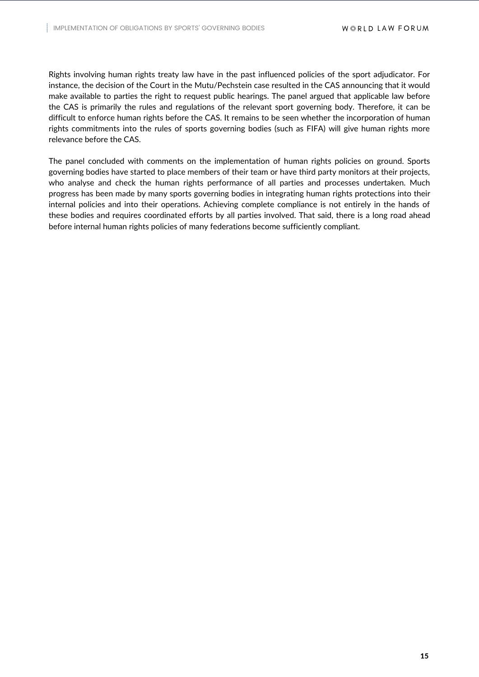Rights involving human rights treaty law have in the past influenced policies of the sport adjudicator. For instance, the decision of the Court in the Mutu/Pechstein case resulted in the CAS announcing that it would make available to parties the right to request public hearings. The panel argued that applicable law before the CAS is primarily the rules and regulations of the relevant sport governing body. Therefore, it can be difficult to enforce human rights before the CAS. It remains to be seen whether the incorporation of human rights commitments into the rules of sports governing bodies (such as FIFA) will give human rights more relevance before the CAS.

The panel concluded with comments on the implementation of human rights policies on ground. Sports governing bodies have started to place members of their team or have third party monitors at their projects, who analyse and check the human rights performance of all parties and processes undertaken. Much progress has been made by many sports governing bodies in integrating human rights protections into their internal policies and into their operations. Achieving complete compliance is not entirely in the hands of these bodies and requires coordinated efforts by all parties involved. That said, there is a long road ahead before internal human rights policies of many federations become sufficiently compliant.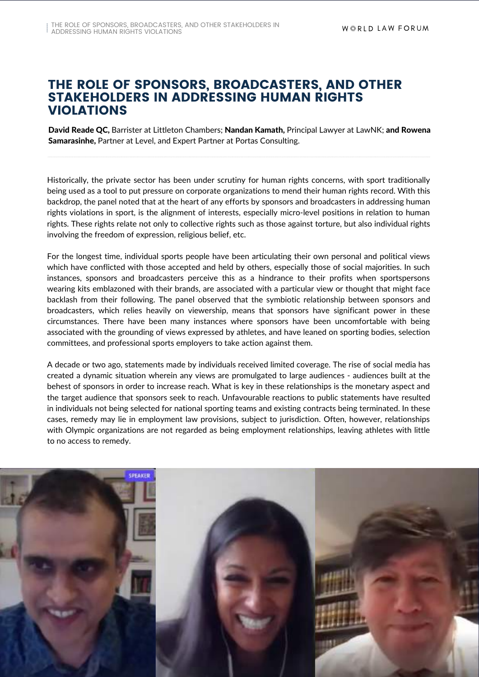## THE ROLE OF SPONSORS, BROADCASTERS, AND OTHER STAKEHOLDERS IN ADDRESSING HUMAN RIGHTS VIOLATIONS

David Reade QC, Barrister at Littleton Chambers; Nandan Kamath, Principal Lawyer at LawNK; and Rowena Samarasinhe, Partner at Level, and Expert Partner at Portas Consulting.

Historically, the private sector has been under scrutiny for human rights concerns, with sport traditionally being used as a tool to put pressure on corporate organizations to mend their human rights record. With this backdrop, the panel noted that at the heart of any efforts by sponsors and broadcasters in addressing human rights violations in sport, is the alignment of interests, especially micro-level positions in relation to human rights. These rights relate not only to collective rights such as those against torture, but also individual rights involving the freedom of expression, religious belief, etc.

For the longest time, individual sports people have been articulating their own personal and political views which have conflicted with those accepted and held by others, especially those of social majorities. In such instances, sponsors and broadcasters perceive this as a hindrance to their profits when sportspersons wearing kits emblazoned with their brands, are associated with a particular view or thought that might face backlash from their following. The panel observed that the symbiotic relationship between sponsors and broadcasters, which relies heavily on viewership, means that sponsors have significant power in these circumstances. There have been many instances where sponsors have been uncomfortable with being associated with the grounding of views expressed by athletes, and have leaned on sporting bodies, selection committees, and professional sports employers to take action against them.

A decade or two ago, statements made by individuals received limited coverage. The rise of social media has created a dynamic situation wherein any views are promulgated to large audiences - audiences built at the behest of sponsors in order to increase reach. What is key in these relationships is the monetary aspect and the target audience that sponsors seek to reach. Unfavourable reactions to public statements have resulted in individuals not being selected for national sporting teams and existing contracts being terminated. In these cases, remedy may lie in employment law provisions, subject to jurisdiction. Often, however, relationships with Olympic organizations are not regarded as being employment relationships, leaving athletes with little to no access to remedy.

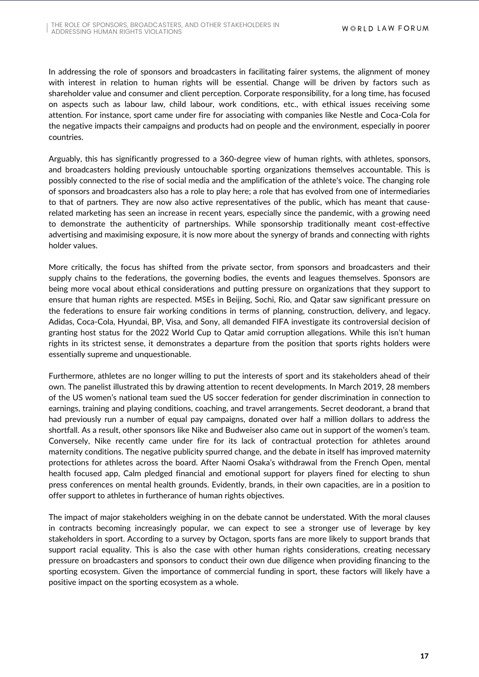In addressing the role of sponsors and broadcasters in facilitating fairer systems, the alignment of money with interest in relation to human rights will be essential. Change will be driven by factors such as shareholder value and consumer and client perception. Corporate responsibility, for a long time, has focused on aspects such as labour law, child labour, work conditions, etc., with ethical issues receiving some attention. For instance, sport came under fire for associating with companies like Nestle and Coca-Cola for the negative impacts their campaigns and products had on people and the environment, especially in poorer countries.

Arguably, this has significantly progressed to a 360-degree view of human rights, with athletes, sponsors, and broadcasters holding previously untouchable sporting organizations themselves accountable. This is possibly connected to the rise of social media and the amplification of the athlete's voice. The changing role of sponsors and broadcasters also has a role to play here; a role that has evolved from one of intermediaries to that of partners. They are now also active representatives of the public, which has meant that causerelated marketing has seen an increase in recent years, especially since the pandemic, with a growing need to demonstrate the authenticity of partnerships. While sponsorship traditionally meant cost-effective advertising and maximising exposure, it is now more about the synergy of brands and connecting with rights holder values.

More critically, the focus has shifted from the private sector, from sponsors and broadcasters and their supply chains to the federations, the governing bodies, the events and leagues themselves. Sponsors are being more vocal about ethical considerations and putting pressure on organizations that they support to ensure that human rights are respected. MSEs in Beijing, Sochi, Rio, and Qatar saw significant pressure on the federations to ensure fair working conditions in terms of planning, construction, delivery, and legacy. Adidas, Coca-Cola, Hyundai, BP, Visa, and Sony, all demanded FIFA investigate its controversial decision of granting host status for the 2022 World Cup to Qatar amid corruption allegations. While this isn't human rights in its strictest sense, it demonstrates a departure from the position that sports rights holders were essentially supreme and unquestionable.

Furthermore, athletes are no longer willing to put the interests of sport and its stakeholders ahead of their own. The panelist illustrated this by drawing attention to recent developments. In March 2019, 28 members of the US women's national team sued the US soccer federation for gender discrimination in connection to earnings, training and playing conditions, coaching, and travel arrangements. Secret deodorant, a brand that had previously run a number of equal pay campaigns, donated over half a million dollars to address the shortfall. As a result, other sponsors like Nike and Budweiser also came out in support of the women's team. Conversely, Nike recently came under fire for its lack of contractual protection for athletes around maternity conditions. The negative publicity spurred change, and the debate in itself has improved maternity protections for athletes across the board. After Naomi Osaka's withdrawal from the French Open, mental health focused app, Calm pledged financial and emotional support for players fined for electing to shun press conferences on mental health grounds. Evidently, brands, in their own capacities, are in a position to offer support to athletes in furtherance of human rights objectives.

The impact of major stakeholders weighing in on the debate cannot be understated. With the moral clauses in contracts becoming increasingly popular, we can expect to see a stronger use of leverage by key stakeholders in sport. According to a survey by Octagon, sports fans are more likely to support brands that support racial equality. This is also the case with other human rights considerations, creating necessary pressure on broadcasters and sponsors to conduct their own due diligence when providing financing to the sporting ecosystem. Given the importance of commercial funding in sport, these factors will likely have a positive impact on the sporting ecosystem as a whole.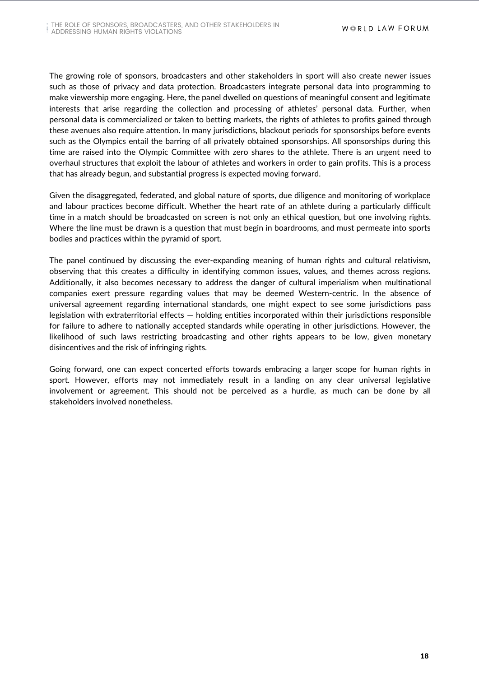The growing role of sponsors, broadcasters and other stakeholders in sport will also create newer issues such as those of privacy and data protection. Broadcasters integrate personal data into programming to make viewership more engaging. Here, the panel dwelled on questions of meaningful consent and legitimate interests that arise regarding the collection and processing of athletes' personal data. Further, when personal data is commercialized or taken to betting markets, the rights of athletes to profits gained through these avenues also require attention. In many jurisdictions, blackout periods for sponsorships before events such as the Olympics entail the barring of all privately obtained sponsorships. All sponsorships during this time are raised into the Olympic Committee with zero shares to the athlete. There is an urgent need to overhaul structures that exploit the labour of athletes and workers in order to gain profits. This is a process that has already begun, and substantial progress is expected moving forward.

Given the disaggregated, federated, and global nature of sports, due diligence and monitoring of workplace and labour practices become difficult. Whether the heart rate of an athlete during a particularly difficult time in a match should be broadcasted on screen is not only an ethical question, but one involving rights. Where the line must be drawn is a question that must begin in boardrooms, and must permeate into sports bodies and practices within the pyramid of sport.

The panel continued by discussing the ever-expanding meaning of human rights and cultural relativism, observing that this creates a difficulty in identifying common issues, values, and themes across regions. Additionally, it also becomes necessary to address the danger of cultural imperialism when multinational companies exert pressure regarding values that may be deemed Western-centric. In the absence of universal agreement regarding international standards, one might expect to see some jurisdictions pass legislation with extraterritorial effects — holding entities incorporated within their jurisdictions responsible for failure to adhere to nationally accepted standards while operating in other jurisdictions. However, the likelihood of such laws restricting broadcasting and other rights appears to be low, given monetary disincentives and the risk of infringing rights.

Going forward, one can expect concerted efforts towards embracing a larger scope for human rights in sport. However, efforts may not immediately result in a landing on any clear universal legislative involvement or agreement. This should not be perceived as a hurdle, as much can be done by all stakeholders involved nonetheless.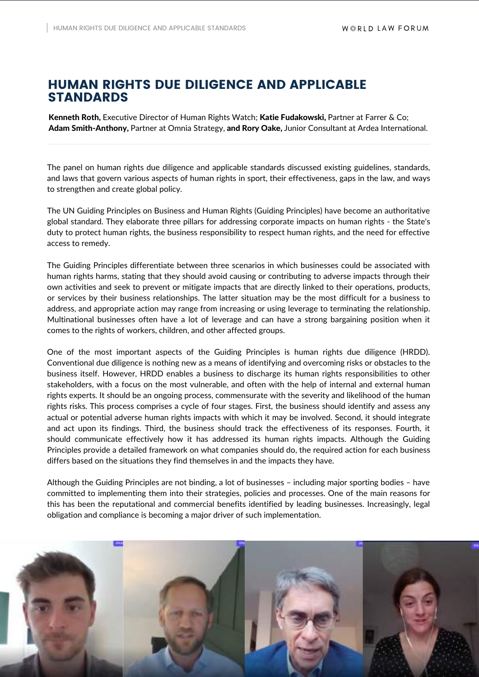## HUMAN RIGHTS DUE DILIGENCE AND APPLICABLE STANDARDS

Kenneth Roth, Executive Director of Human Rights Watch; Katie Fudakowski, Partner at Farrer & Co; Adam Smith-Anthony, Partner at Omnia Strategy, and Rory Oake, Junior Consultant at Ardea International.

The panel on human rights due diligence and applicable standards discussed existing guidelines, standards, and laws that govern various aspects of human rights in sport, their effectiveness, gaps in the law, and ways to strengthen and create global policy.

The UN Guiding Principles on Business and Human Rights (Guiding Principles) have become an authoritative global standard. They elaborate three pillars for addressing corporate impacts on human rights - the State's duty to protect human rights, the business responsibility to respect human rights, and the need for effective access to remedy.

The Guiding Principles differentiate between three scenarios in which businesses could be associated with human rights harms, stating that they should avoid causing or contributing to adverse impacts through their own activities and seek to prevent or mitigate impacts that are directly linked to their operations, products, or services by their business relationships. The latter situation may be the most difficult for a business to address, and appropriate action may range from increasing or using leverage to terminating the relationship. Multinational businesses often have a lot of leverage and can have a strong bargaining position when it comes to the rights of workers, children, and other affected groups.

One of the most important aspects of the Guiding Principles is human rights due diligence (HRDD). Conventional due diligence is nothing new as a means of identifying and overcoming risks or obstacles to the business itself. However, HRDD enables a business to discharge its human rights responsibilities to other stakeholders, with a focus on the most vulnerable, and often with the help of internal and external human rights experts. It should be an ongoing process, commensurate with the severity and likelihood of the human rights risks. This process comprises a cycle of four stages. First, the business should identify and assess any actual or potential adverse human rights impacts with which it may be involved. Second, it should integrate and act upon its findings. Third, the business should track the effectiveness of its responses. Fourth, it should communicate effectively how it has addressed its human rights impacts. Although the Guiding Principles provide a detailed framework on what companies should do, the required action for each business differs based on the situations they find themselves in and the impacts they have.

Although the Guiding Principles are not binding, a lot of businesses – including major sporting bodies – have committed to implementing them into their strategies, policies and processes. One of the main reasons for this has been the reputational and commercial benefits identified by leading businesses. Increasingly, legal obligation and compliance is becoming a major driver of such implementation.

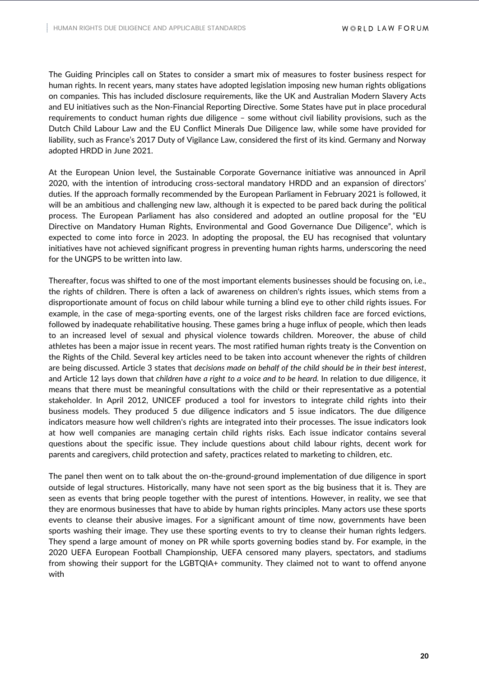The Guiding Principles call on States to consider a smart mix of measures to foster business respect for human rights. In recent years, many states have adopted legislation imposing new human rights obligations on companies. This has included disclosure requirements, like the UK and Australian Modern Slavery Acts and EU initiatives such as the Non-Financial Reporting Directive. Some States have put in place procedural requirements to conduct human rights due diligence – some without civil liability provisions, such as the Dutch Child Labour Law and the EU Conflict Minerals Due Diligence law, while some have provided for liability, such as France's 2017 Duty of Vigilance Law, considered the first of its kind. Germany and Norway adopted HRDD in June 2021.

At the European Union level, the Sustainable Corporate Governance initiative was announced in April 2020, with the intention of introducing cross-sectoral mandatory HRDD and an expansion of directors' duties. If the approach formally recommended by the European Parliament in February 2021 is followed, it will be an ambitious and challenging new law, although it is expected to be pared back during the political process. The European Parliament has also considered and adopted an outline proposal for the "EU Directive on Mandatory Human Rights, Environmental and Good Governance Due Diligence", which is expected to come into force in 2023. In adopting the proposal, the EU has recognised that voluntary initiatives have not achieved significant progress in preventing human rights harms, underscoring the need for the UNGPS to be written into law.

Thereafter, focus was shifted to one of the most important elements businesses should be focusing on, i.e., the rights of children. There is often a lack of awareness on children's rights issues, which stems from a disproportionate amount of focus on child labour while turning a blind eye to other child rights issues. For example, in the case of mega-sporting events, one of the largest risks children face are forced evictions, followed by inadequate rehabilitative housing. These games bring a huge influx of people, which then leads to an increased level of sexual and physical violence towards children. Moreover, the abuse of child athletes has been a major issue in recent years. The most ratified human rights treaty is the Convention on the Rights of the Child. Several key articles need to be taken into account whenever the rights of children are being discussed. Article 3 states that *decisions made on behalf of the child should be in their best interest*, and Article 12 lays down that *children have a right to a voice and to be heard.* In relation to due diligence, it means that there must be meaningful consultations with the child or their representative as a potential stakeholder. In April 2012, UNICEF produced a tool for investors to integrate child rights into their business models. They produced 5 due diligence indicators and 5 issue indicators. The due diligence indicators measure how well children's rights are integrated into their processes. The issue indicators look at how well companies are managing certain child rights risks. Each issue indicator contains several questions about the specific issue. They include questions about child labour rights, decent work for parents and caregivers, child protection and safety, practices related to marketing to children, etc.

The panel then went on to talk about the on-the-ground-ground implementation of due diligence in sport outside of legal structures. Historically, many have not seen sport as the big business that it is. They are seen as events that bring people together with the purest of intentions. However, in reality, we see that they are enormous businesses that have to abide by human rights principles. Many actors use these sports events to cleanse their abusive images. For a significant amount of time now, governments have been sports washing their image. They use these sporting events to try to cleanse their human rights ledgers. They spend a large amount of money on PR while sports governing bodies stand by. For example, in the 2020 UEFA European Football Championship, UEFA censored many players, spectators, and stadiums from showing their support for the LGBTQIA+ community. They claimed not to want to offend anyone with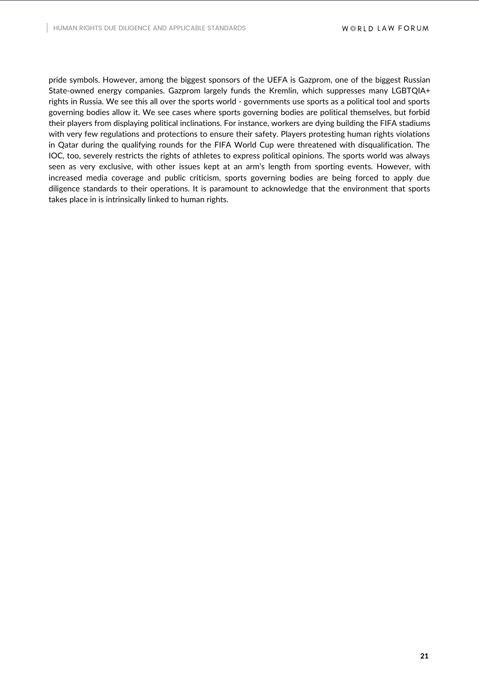pride symbols. However, among the biggest sponsors of the UEFA is Gazprom, one of the biggest Russian State-owned energy companies. Gazprom largely funds the Kremlin, which suppresses many LGBTQIA+ rights in Russia. We see this all over the sports world - governments use sports as a political tool and sports governing bodies allow it. We see cases where sports governing bodies are political themselves, but forbid their players from displaying political inclinations. For instance, workers are dying building the FIFA stadiums with very few regulations and protections to ensure their safety. Players protesting human rights violations in Qatar during the qualifying rounds for the FIFA World Cup were threatened with disqualification. The IOC, too, severely restricts the rights of athletes to express political opinions. The sports world was always seen as very exclusive, with other issues kept at an arm's length from sporting events. However, with increased media coverage and public criticism, sports governing bodies are being forced to apply due diligence standards to their operations. It is paramount to acknowledge that the environment that sports takes place in is intrinsically linked to human rights.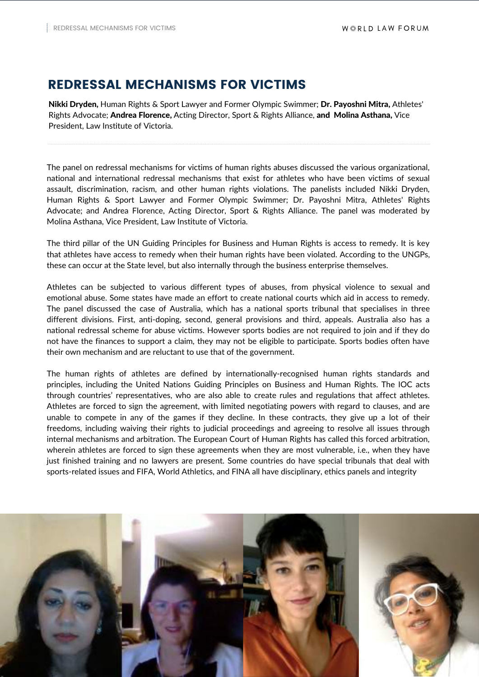# REDRESSAL MECHANISMS FOR VICTIMS

Nikki Dryden, Human Rights & Sport Lawyer and Former Olympic Swimmer; Dr. Payoshni Mitra, Athletes' Rights Advocate; Andrea Florence, Acting Director, Sport & Rights Alliance, and Molina Asthana, Vice President, Law Institute of Victoria.

The panel on redressal mechanisms for victims of human rights abuses discussed the various organizational, national and international redressal mechanisms that exist for athletes who have been victims of sexual assault, discrimination, racism, and other human rights violations. The panelists included Nikki Dryden, Human Rights & Sport Lawyer and Former Olympic Swimmer; Dr. Payoshni Mitra, Athletes' Rights Advocate; and Andrea Florence, Acting Director, Sport & Rights Alliance. The panel was moderated by Molina Asthana, Vice President, Law Institute of Victoria.

The third pillar of the UN Guiding Principles for Business and Human Rights is access to remedy. It is key that athletes have access to remedy when their human rights have been violated. According to the UNGPs, these can occur at the State level, but also internally through the business enterprise themselves.

Athletes can be subjected to various different types of abuses, from physical violence to sexual and emotional abuse. Some states have made an effort to create national courts which aid in access to remedy. The panel discussed the case of Australia, which has a national sports tribunal that specialises in three different divisions. First, anti-doping, second, general provisions and third, appeals. Australia also has a national redressal scheme for abuse victims. However sports bodies are not required to join and if they do not have the finances to support a claim, they may not be eligible to participate. Sports bodies often have their own mechanism and are reluctant to use that of the government.

The human rights of athletes are defined by internationally-recognised human rights standards and principles, including the United Nations Guiding Principles on Business and Human Rights. The IOC acts through countries' representatives, who are also able to create rules and regulations that affect athletes. Athletes are forced to sign the agreement, with limited negotiating powers with regard to clauses, and are unable to compete in any of the games if they decline. In these contracts, they give up a lot of their freedoms, including waiving their rights to judicial proceedings and agreeing to resolve all issues through internal mechanisms and arbitration. The European Court of Human Rights has called this forced arbitration, wherein athletes are forced to sign these agreements when they are most vulnerable, i.e., when they have just finished training and no lawyers are present. Some countries do have special tribunals that deal with sports-related issues and FIFA, World Athletics, and FINA all have disciplinary, ethics panels and integrity

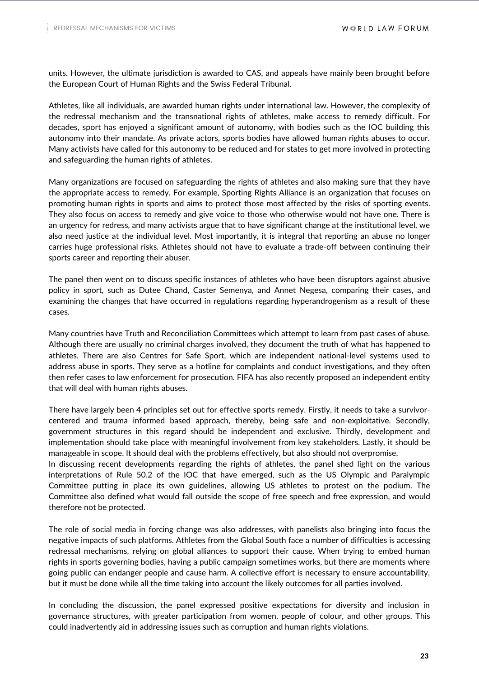units. However, the ultimate jurisdiction is awarded to CAS, and appeals have mainly been brought before the European Court of Human Rights and the Swiss Federal Tribunal.

Athletes, like all individuals, are awarded human rights under international law. However, the complexity of the redressal mechanism and the transnational rights of athletes, make access to remedy difficult. For decades, sport has enjoyed a significant amount of autonomy, with bodies such as the IOC building this autonomy into their mandate. As private actors, sports bodies have allowed human rights abuses to occur. Many activists have called for this autonomy to be reduced and for states to get more involved in protecting and safeguarding the human rights of athletes.

Many organizations are focused on safeguarding the rights of athletes and also making sure that they have the appropriate access to remedy. For example, Sporting Rights Alliance is an organization that focuses on promoting human rights in sports and aims to protect those most affected by the risks of sporting events. They also focus on access to remedy and give voice to those who otherwise would not have one. There is an urgency for redress, and many activists argue that to have significant change at the institutional level, we also need justice at the individual level. Most importantly, it is integral that reporting an abuse no longer carries huge professional risks. Athletes should not have to evaluate a trade-off between continuing their sports career and reporting their abuser.

The panel then went on to discuss specific instances of athletes who have been disruptors against abusive policy in sport, such as Dutee Chand, Caster Semenya, and Annet Negesa, comparing their cases, and examining the changes that have occurred in regulations regarding hyperandrogenism as a result of these cases.

Many countries have Truth and Reconciliation Committees which attempt to learn from past cases of abuse. Although there are usually no criminal charges involved, they document the truth of what has happened to athletes. There are also Centres for Safe Sport, which are independent national-level systems used to address abuse in sports. They serve as a hotline for complaints and conduct investigations, and they often then refer cases to law enforcement for prosecution. FIFA has also recently proposed an independent entity that will deal with human rights abuses.

There have largely been 4 principles set out for effective sports remedy. Firstly, it needs to take a survivorcentered and trauma informed based approach, thereby, being safe and non-exploitative. Secondly, government structures in this regard should be independent and exclusive. Thirdly, development and implementation should take place with meaningful involvement from key stakeholders. Lastly, it should be manageable in scope. It should deal with the problems effectively, but also should not overpromise.

In discussing recent developments regarding the rights of athletes, the panel shed light on the various interpretations of Rule 50.2 of the IOC that have emerged, such as the US Olympic and Paralympic Committee putting in place its own guidelines, allowing US athletes to protest on the podium. The Committee also defined what would fall outside the scope of free speech and free expression, and would therefore not be protected.

The role of social media in forcing change was also addresses, with panelists also bringing into focus the negative impacts of such platforms. Athletes from the Global South face a number of difficulties is accessing redressal mechanisms, relying on global alliances to support their cause. When trying to embed human rights in sports governing bodies, having a public campaign sometimes works, but there are moments where going public can endanger people and cause harm. A collective effort is necessary to ensure accountability, but it must be done while all the time taking into account the likely outcomes for all parties involved.

In concluding the discussion, the panel expressed positive expectations for diversity and inclusion in governance structures, with greater participation from women, people of colour, and other groups. This could inadvertently aid in addressing issues such as corruption and human rights violations.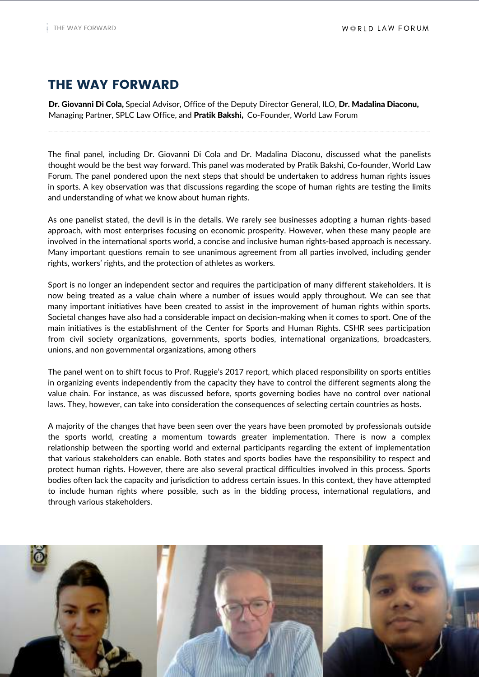# THE WAY FORWARD

Dr. Giovanni Di Cola, Special Advisor, Office of the Deputy Director General, ILO, Dr. Madalina Diaconu, Managing Partner, SPLC Law Office, and Pratik Bakshi, Co-Founder, World Law Forum

The final panel, including Dr. Giovanni Di Cola and Dr. Madalina Diaconu, discussed what the panelists thought would be the best way forward. This panel was moderated by Pratik Bakshi, Co-founder, World Law Forum. The panel pondered upon the next steps that should be undertaken to address human rights issues in sports. A key observation was that discussions regarding the scope of human rights are testing the limits and understanding of what we know about human rights.

As one panelist stated, the devil is in the details. We rarely see businesses adopting a human rights-based approach, with most enterprises focusing on economic prosperity. However, when these many people are involved in the international sports world, a concise and inclusive human rights-based approach is necessary. Many important questions remain to see unanimous agreement from all parties involved, including gender rights, workers' rights, and the protection of athletes as workers.

Sport is no longer an independent sector and requires the participation of many different stakeholders. It is now being treated as a value chain where a number of issues would apply throughout. We can see that many important initiatives have been created to assist in the improvement of human rights within sports. Societal changes have also had a considerable impact on decision-making when it comes to sport. One of the main initiatives is the establishment of the Center for Sports and Human Rights. CSHR sees participation from civil society organizations, governments, sports bodies, international organizations, broadcasters, unions, and non governmental organizations, among others

The panel went on to shift focus to Prof. Ruggie's 2017 report, which placed responsibility on sports entities in organizing events independently from the capacity they have to control the different segments along the value chain. For instance, as was discussed before, sports governing bodies have no control over national laws. They, however, can take into consideration the consequences of selecting certain countries as hosts.

A majority of the changes that have been seen over the years have been promoted by professionals outside the sports world, creating a momentum towards greater implementation. There is now a complex relationship between the sporting world and external participants regarding the extent of implementation that various stakeholders can enable. Both states and sports bodies have the responsibility to respect and protect human rights. However, there are also several practical difficulties involved in this process. Sports bodies often lack the capacity and jurisdiction to address certain issues. In this context, they have attempted to include human rights where possible, such as in the bidding process, international regulations, and through various stakeholders.

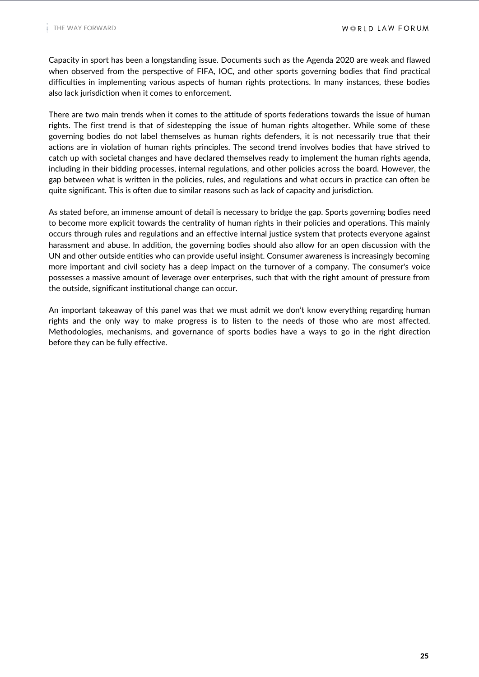Capacity in sport has been a longstanding issue. Documents such as the Agenda 2020 are weak and flawed when observed from the perspective of FIFA, IOC, and other sports governing bodies that find practical difficulties in implementing various aspects of human rights protections. In many instances, these bodies also lack jurisdiction when it comes to enforcement.

There are two main trends when it comes to the attitude of sports federations towards the issue of human rights. The first trend is that of sidestepping the issue of human rights altogether. While some of these governing bodies do not label themselves as human rights defenders, it is not necessarily true that their actions are in violation of human rights principles. The second trend involves bodies that have strived to catch up with societal changes and have declared themselves ready to implement the human rights agenda, including in their bidding processes, internal regulations, and other policies across the board. However, the gap between what is written in the policies, rules, and regulations and what occurs in practice can often be quite significant. This is often due to similar reasons such as lack of capacity and jurisdiction.

As stated before, an immense amount of detail is necessary to bridge the gap. Sports governing bodies need to become more explicit towards the centrality of human rights in their policies and operations. This mainly occurs through rules and regulations and an effective internal justice system that protects everyone against harassment and abuse. In addition, the governing bodies should also allow for an open discussion with the UN and other outside entities who can provide useful insight. Consumer awareness is increasingly becoming more important and civil society has a deep impact on the turnover of a company. The consumer's voice possesses a massive amount of leverage over enterprises, such that with the right amount of pressure from the outside, significant institutional change can occur.

An important takeaway of this panel was that we must admit we don't know everything regarding human rights and the only way to make progress is to listen to the needs of those who are most affected. Methodologies, mechanisms, and governance of sports bodies have a ways to go in the right direction before they can be fully effective.